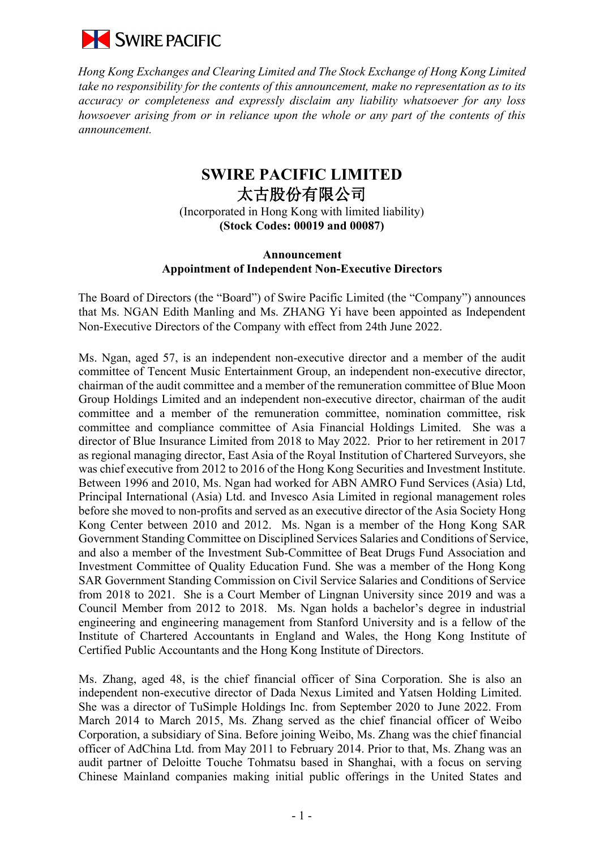

*Hong Kong Exchanges and Clearing Limited and The Stock Exchange of Hong Kong Limited take no responsibility for the contents of this announcement, make no representation as to its accuracy or completeness and expressly disclaim any liability whatsoever for any loss howsoever arising from or in reliance upon the whole or any part of the contents of this announcement.*

## **SWIRE PACIFIC LIMITED**  太古股份有限公司 (Incorporated in Hong Kong with limited liability) **(Stock Codes: 00019 and 00087)**

## **Announcement Appointment of Independent Non-Executive Directors**

The Board of Directors (the "Board") of Swire Pacific Limited (the "Company") announces that Ms. NGAN Edith Manling and Ms. ZHANG Yi have been appointed as Independent Non-Executive Directors of the Company with effect from 24th June 2022.

Ms. Ngan, aged 57, is an independent non-executive director and a member of the audit committee of Tencent Music Entertainment Group, an independent non-executive director, chairman of the audit committee and a member of the remuneration committee of Blue Moon Group Holdings Limited and an independent non-executive director, chairman of the audit committee and a member of the remuneration committee, nomination committee, risk committee and compliance committee of Asia Financial Holdings Limited. She was a director of Blue Insurance Limited from 2018 to May 2022. Prior to her retirement in 2017 as regional managing director, East Asia of the Royal Institution of Chartered Surveyors, she was chief executive from 2012 to 2016 of the Hong Kong Securities and Investment Institute. Between 1996 and 2010, Ms. Ngan had worked for ABN AMRO Fund Services (Asia) Ltd, Principal International (Asia) Ltd. and Invesco Asia Limited in regional management roles before she moved to non-profits and served as an executive director of the Asia Society Hong Kong Center between 2010 and 2012. Ms. Ngan is a member of the Hong Kong SAR Government Standing Committee on Disciplined Services Salaries and Conditions of Service, and also a member of the Investment Sub-Committee of Beat Drugs Fund Association and Investment Committee of Quality Education Fund. She was a member of the Hong Kong SAR Government Standing Commission on Civil Service Salaries and Conditions of Service from 2018 to 2021. She is a Court Member of Lingnan University since 2019 and was a Council Member from 2012 to 2018. Ms. Ngan holds a bachelor's degree in industrial engineering and engineering management from Stanford University and is a fellow of the Institute of Chartered Accountants in England and Wales, the Hong Kong Institute of Certified Public Accountants and the Hong Kong Institute of Directors.

Ms. Zhang, aged 48, is the chief financial officer of Sina Corporation. She is also an independent non-executive director of Dada Nexus Limited and Yatsen Holding Limited. She was a director of TuSimple Holdings Inc. from September 2020 to June 2022. From March 2014 to March 2015, Ms. Zhang served as the chief financial officer of Weibo Corporation, a subsidiary of Sina. Before joining Weibo, Ms. Zhang was the chief financial officer of AdChina Ltd. from May 2011 to February 2014. Prior to that, Ms. Zhang was an audit partner of Deloitte Touche Tohmatsu based in Shanghai, with a focus on serving Chinese Mainland companies making initial public offerings in the United States and